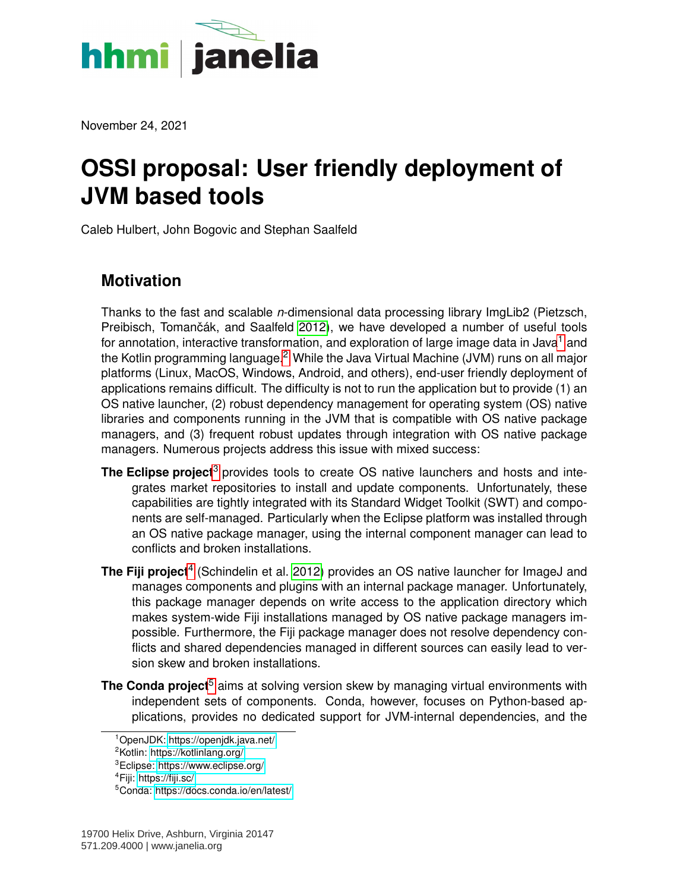

November 24, 2021

# **OSSI proposal: User friendly deployment of JVM based tools**

Caleb Hulbert, John Bogovic and Stephan Saalfeld

## **Motivation**

Thanks to the fast and scalable *n*-dimensional data processing library ImgLib2 (Pietzsch, Preibisch, Tomančák, and Saalfeld [2012\)](#page-3-0), we have developed a number of useful tools for annotation, interactive transformation, and exploration of large image data in Java<sup>[1](#page-0-0)</sup> and the Kotlin programming language.<sup>[2](#page-0-1)</sup> While the Java Virtual Machine (JVM) runs on all major platforms (Linux, MacOS, Windows, Android, and others), end-user friendly deployment of applications remains difficult. The difficulty is not to run the application but to provide (1) an OS native launcher, (2) robust dependency management for operating system (OS) native libraries and components running in the JVM that is compatible with OS native package managers, and (3) frequent robust updates through integration with OS native package managers. Numerous projects address this issue with mixed success:

- **The Eclipse project**<sup>[3](#page-0-2)</sup> provides tools to create OS native launchers and hosts and integrates market repositories to install and update components. Unfortunately, these capabilities are tightly integrated with its Standard Widget Toolkit (SWT) and components are self-managed. Particularly when the Eclipse platform was installed through an OS native package manager, using the internal component manager can lead to conflicts and broken installations.
- **The Fiji project**[4](#page-0-3) (Schindelin et al. [2012\)](#page-3-1) provides an OS native launcher for ImageJ and manages components and plugins with an internal package manager. Unfortunately, this package manager depends on write access to the application directory which makes system-wide Fiji installations managed by OS native package managers impossible. Furthermore, the Fiji package manager does not resolve dependency conflicts and shared dependencies managed in different sources can easily lead to version skew and broken installations.
- **The Conda project**[5](#page-0-4) aims at solving version skew by managing virtual environments with independent sets of components. Conda, however, focuses on Python-based applications, provides no dedicated support for JVM-internal dependencies, and the

<span id="page-0-0"></span><sup>1</sup>OpenJDK:<https://openjdk.java.net/>

<span id="page-0-1"></span><sup>2</sup>Kotlin:<https://kotlinlang.org/>

<span id="page-0-2"></span><sup>3</sup>Eclipse:<https://www.eclipse.org/>

<span id="page-0-3"></span><sup>4</sup>Fiji:<https://fiji.sc/>

<span id="page-0-4"></span><sup>5</sup>Conda:<https://docs.conda.io/en/latest/>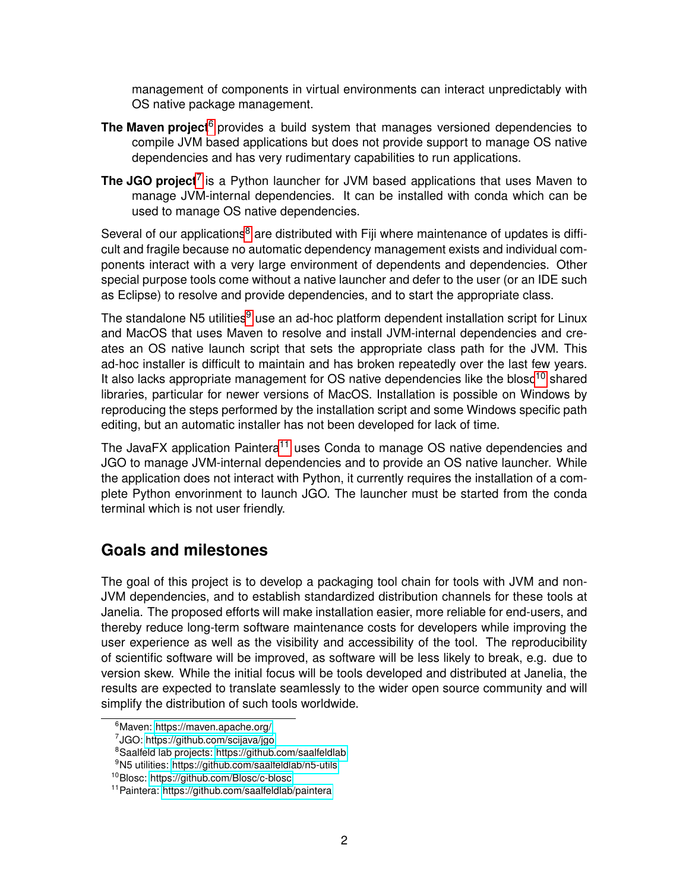management of components in virtual environments can interact unpredictably with OS native package management.

- **The Maven project**<sup>[6](#page-1-0)</sup> provides a build system that manages versioned dependencies to compile JVM based applications but does not provide support to manage OS native dependencies and has very rudimentary capabilities to run applications.
- **The JGO project**<sup>[7](#page-1-1)</sup> is a Python launcher for JVM based applications that uses Maven to manage JVM-internal dependencies. It can be installed with conda which can be used to manage OS native dependencies.

Several of our applications<sup>[8](#page-1-2)</sup> are distributed with Fiji where maintenance of updates is difficult and fragile because no automatic dependency management exists and individual components interact with a very large environment of dependents and dependencies. Other special purpose tools come without a native launcher and defer to the user (or an IDE such as Eclipse) to resolve and provide dependencies, and to start the appropriate class.

The standalone N5 utilities<sup>[9](#page-1-3)</sup> use an ad-hoc platform dependent installation script for Linux and MacOS that uses Maven to resolve and install JVM-internal dependencies and creates an OS native launch script that sets the appropriate class path for the JVM. This ad-hoc installer is difficult to maintain and has broken repeatedly over the last few years. It also lacks appropriate management for OS native dependencies like the blosc<sup>[10](#page-1-4)</sup> shared libraries, particular for newer versions of MacOS. Installation is possible on Windows by reproducing the steps performed by the installation script and some Windows specific path editing, but an automatic installer has not been developed for lack of time.

The JavaFX application Paintera<sup>[11](#page-1-5)</sup> uses Conda to manage OS native dependencies and JGO to manage JVM-internal dependencies and to provide an OS native launcher. While the application does not interact with Python, it currently requires the installation of a complete Python envorinment to launch JGO. The launcher must be started from the conda terminal which is not user friendly.

## **Goals and milestones**

The goal of this project is to develop a packaging tool chain for tools with JVM and non-JVM dependencies, and to establish standardized distribution channels for these tools at Janelia. The proposed efforts will make installation easier, more reliable for end-users, and thereby reduce long-term software maintenance costs for developers while improving the user experience as well as the visibility and accessibility of the tool. The reproducibility of scientific software will be improved, as software will be less likely to break, e.g. due to version skew. While the initial focus will be tools developed and distributed at Janelia, the results are expected to translate seamlessly to the wider open source community and will simplify the distribution of such tools worldwide.

<span id="page-1-0"></span><sup>&</sup>lt;sup>6</sup>Maven:<https://maven.apache.org/>

<span id="page-1-1"></span><sup>7</sup> JGO:<https://github.com/scijava/jgo>

<span id="page-1-2"></span><sup>8</sup>Saalfeld lab projects:<https://github.com/saalfeldlab>

<span id="page-1-3"></span><sup>9</sup>N5 utilities:<https://github.com/saalfeldlab/n5-utils>

<span id="page-1-4"></span><sup>10</sup>Blosc:<https://github.com/Blosc/c-blosc>

<span id="page-1-5"></span><sup>11</sup>Paintera:<https://github.com/saalfeldlab/paintera>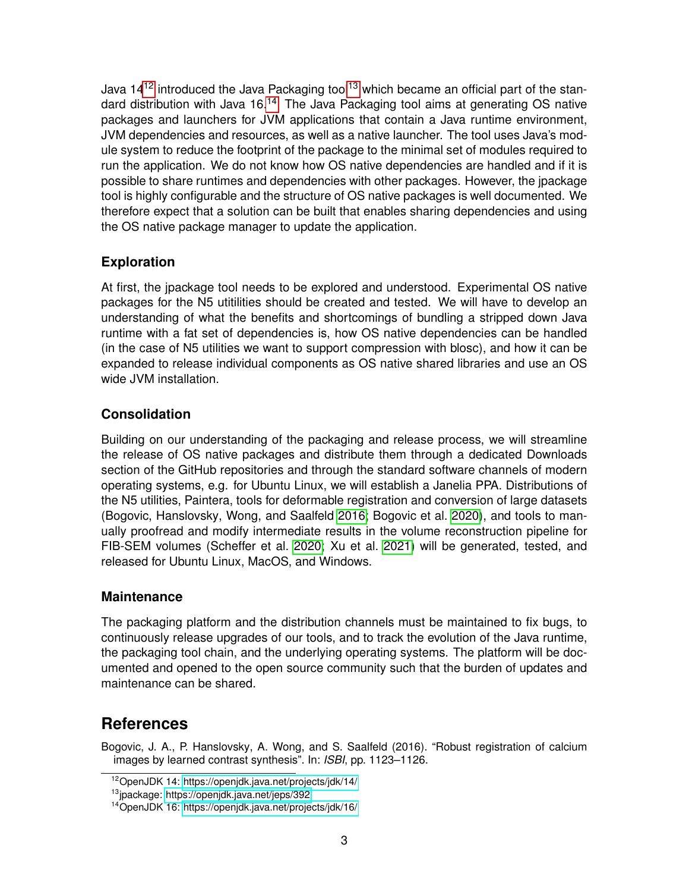Java  $14^{12}$  $14^{12}$  $14^{12}$  introduced the Java Packaging tool<sup>[13](#page-2-1)</sup> which became an official part of the stan-dard distribution with Java 16.<sup>[14](#page-2-2)</sup> The Java Packaging tool aims at generating OS native packages and launchers for JVM applications that contain a Java runtime environment, JVM dependencies and resources, as well as a native launcher. The tool uses Java's module system to reduce the footprint of the package to the minimal set of modules required to run the application. We do not know how OS native dependencies are handled and if it is possible to share runtimes and dependencies with other packages. However, the jpackage tool is highly configurable and the structure of OS native packages is well documented. We therefore expect that a solution can be built that enables sharing dependencies and using the OS native package manager to update the application.

#### **Exploration**

At first, the jpackage tool needs to be explored and understood. Experimental OS native packages for the N5 utitilities should be created and tested. We will have to develop an understanding of what the benefits and shortcomings of bundling a stripped down Java runtime with a fat set of dependencies is, how OS native dependencies can be handled (in the case of N5 utilities we want to support compression with blosc), and how it can be expanded to release individual components as OS native shared libraries and use an OS wide JVM installation.

#### **Consolidation**

Building on our understanding of the packaging and release process, we will streamline the release of OS native packages and distribute them through a dedicated Downloads section of the GitHub repositories and through the standard software channels of modern operating systems, e.g. for Ubuntu Linux, we will establish a Janelia PPA. Distributions of the N5 utilities, Paintera, tools for deformable registration and conversion of large datasets (Bogovic, Hanslovsky, Wong, and Saalfeld [2016;](#page-2-3) Bogovic et al. [2020\)](#page-3-2), and tools to manually proofread and modify intermediate results in the volume reconstruction pipeline for FIB-SEM volumes (Scheffer et al. [2020;](#page-3-3) Xu et al. [2021\)](#page-3-4) will be generated, tested, and released for Ubuntu Linux, MacOS, and Windows.

#### **Maintenance**

The packaging platform and the distribution channels must be maintained to fix bugs, to continuously release upgrades of our tools, and to track the evolution of the Java runtime, the packaging tool chain, and the underlying operating systems. The platform will be documented and opened to the open source community such that the burden of updates and maintenance can be shared.

### **References**

<span id="page-2-3"></span>Bogovic, J. A., P. Hanslovsky, A. Wong, and S. Saalfeld (2016). "Robust registration of calcium images by learned contrast synthesis". In: *ISBI*, pp. 1123–1126.

<span id="page-2-0"></span><sup>12</sup>OpenJDK 14:<https://openjdk.java.net/projects/jdk/14/>

<span id="page-2-1"></span><sup>13</sup>jpackage:<https://openjdk.java.net/jeps/392>

<span id="page-2-2"></span><sup>14</sup>OpenJDK 16:<https://openjdk.java.net/projects/jdk/16/>